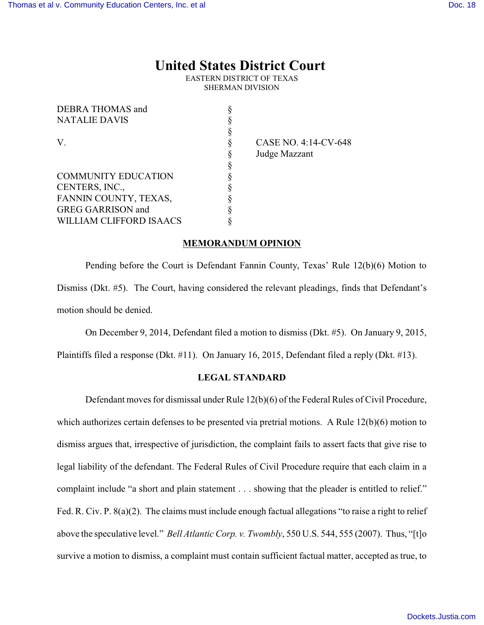# **United States District Court**

EASTERN DISTRICT OF TEXAS SHERMAN DIVISION

| DEBRA THOMAS and           |   |
|----------------------------|---|
| <b>NATALIE DAVIS</b>       | ş |
|                            | ş |
| V                          | ş |
|                            | ş |
|                            | ş |
| <b>COMMUNITY EDUCATION</b> | ş |
| CENTERS, INC.,             | ş |
| FANNIN COUNTY, TEXAS,      | § |
| <b>GREG GARRISON</b> and   | ş |
| WILLIAM CLIFFORD ISAACS    |   |
|                            |   |

CASE NO. 4:14-CV-648 Judge Mazzant

#### **MEMORANDUM OPINION**

Pending before the Court is Defendant Fannin County, Texas' Rule 12(b)(6) Motion to Dismiss (Dkt. #5). The Court, having considered the relevant pleadings, finds that Defendant's motion should be denied.

On December 9, 2014, Defendant filed a motion to dismiss (Dkt. #5). On January 9, 2015,

Plaintiffs filed a response (Dkt. #11). On January 16, 2015, Defendant filed a reply (Dkt. #13).

### **LEGAL STANDARD**

Defendant moves for dismissal under Rule 12(b)(6) of the Federal Rules of Civil Procedure, which authorizes certain defenses to be presented via pretrial motions. A Rule 12(b)(6) motion to dismiss argues that, irrespective of jurisdiction, the complaint fails to assert facts that give rise to legal liability of the defendant. The Federal Rules of Civil Procedure require that each claim in a complaint include "a short and plain statement . . . showing that the pleader is entitled to relief." Fed. R. Civ. P. 8(a)(2). The claims must include enough factual allegations "to raise a right to relief above the speculative level." *Bell Atlantic Corp. v. Twombly*, 550 U.S. 544, 555 (2007). Thus, "[t]o survive a motion to dismiss, a complaint must contain sufficient factual matter, accepted as true, to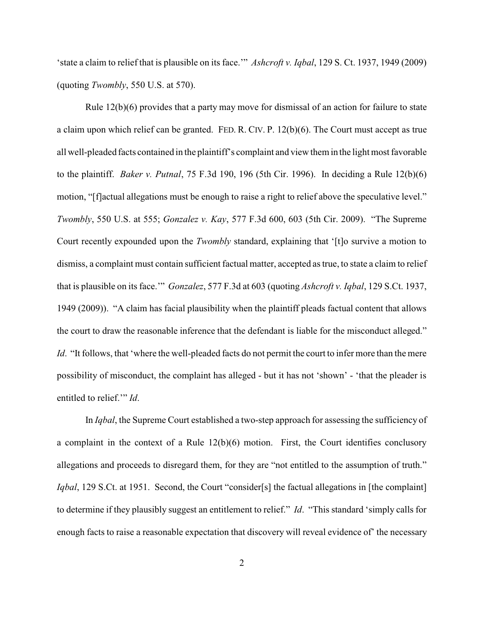'state a claim to relief that is plausible on its face.'" *Ashcroft v. Iqbal*, 129 S. Ct. 1937, 1949 (2009) (quoting *Twombly*, 550 U.S. at 570).

Rule  $12(b)(6)$  provides that a party may move for dismissal of an action for failure to state a claim upon which relief can be granted. FED. R. CIV. P. 12(b)(6). The Court must accept as true all well-pleaded facts contained in the plaintiff's complaint and view them in the light most favorable to the plaintiff. *Baker v. Putnal*, 75 F.3d 190, 196 (5th Cir. 1996). In deciding a Rule 12(b)(6) motion, "[f]actual allegations must be enough to raise a right to relief above the speculative level." *Twombly*, 550 U.S. at 555; *Gonzalez v. Kay*, 577 F.3d 600, 603 (5th Cir. 2009). "The Supreme Court recently expounded upon the *Twombly* standard, explaining that '[t]o survive a motion to dismiss, a complaint must contain sufficient factual matter, accepted as true, to state a claim to relief that is plausible on its face.'" *Gonzalez*, 577 F.3d at 603 (quoting *Ashcroft v. Iqbal*, 129 S.Ct. 1937, 1949 (2009)). "A claim has facial plausibility when the plaintiff pleads factual content that allows the court to draw the reasonable inference that the defendant is liable for the misconduct alleged." *Id*. "It follows, that 'where the well-pleaded facts do not permit the court to infer more than the mere possibility of misconduct, the complaint has alleged - but it has not 'shown' - 'that the pleader is entitled to relief.'" *Id*.

In *Iqbal*, the Supreme Court established a two-step approach for assessing the sufficiency of a complaint in the context of a Rule 12(b)(6) motion. First, the Court identifies conclusory allegations and proceeds to disregard them, for they are "not entitled to the assumption of truth." *Iqbal*, 129 S.Ct. at 1951. Second, the Court "consider[s] the factual allegations in [the complaint] to determine if they plausibly suggest an entitlement to relief." *Id*. "This standard 'simply calls for enough facts to raise a reasonable expectation that discovery will reveal evidence of' the necessary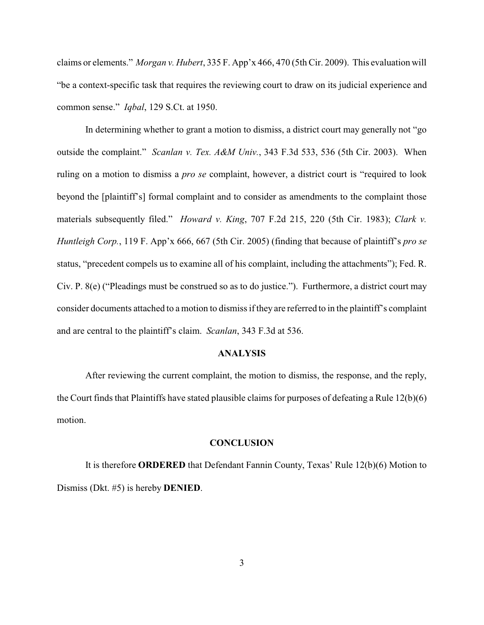claims or elements." *Morgan v. Hubert*, 335 F. App'x 466, 470 (5th Cir. 2009). This evaluation will "be a context-specific task that requires the reviewing court to draw on its judicial experience and common sense." *Iqbal*, 129 S.Ct. at 1950.

In determining whether to grant a motion to dismiss, a district court may generally not "go outside the complaint." *Scanlan v. Tex. A&M Univ.*, 343 F.3d 533, 536 (5th Cir. 2003). When ruling on a motion to dismiss a *pro se* complaint, however, a district court is "required to look beyond the [plaintiff's] formal complaint and to consider as amendments to the complaint those materials subsequently filed." *Howard v. King*, 707 F.2d 215, 220 (5th Cir. 1983); *Clark v. Huntleigh Corp.*, 119 F. App'x 666, 667 (5th Cir. 2005) (finding that because of plaintiff's *pro se* status, "precedent compels us to examine all of his complaint, including the attachments"); Fed. R. Civ. P. 8(e) ("Pleadings must be construed so as to do justice."). Furthermore, a district court may consider documents attached to a motion to dismiss if they are referred to in the plaintiff's complaint and are central to the plaintiff's claim. *Scanlan*, 343 F.3d at 536.

## **ANALYSIS**

After reviewing the current complaint, the motion to dismiss, the response, and the reply, the Court finds that Plaintiffs have stated plausible claims for purposes of defeating a Rule 12(b)(6) motion.

#### **CONCLUSION**

It is therefore **ORDERED** that Defendant Fannin County, Texas' Rule 12(b)(6) Motion to Dismiss (Dkt. #5) is hereby **DENIED**.